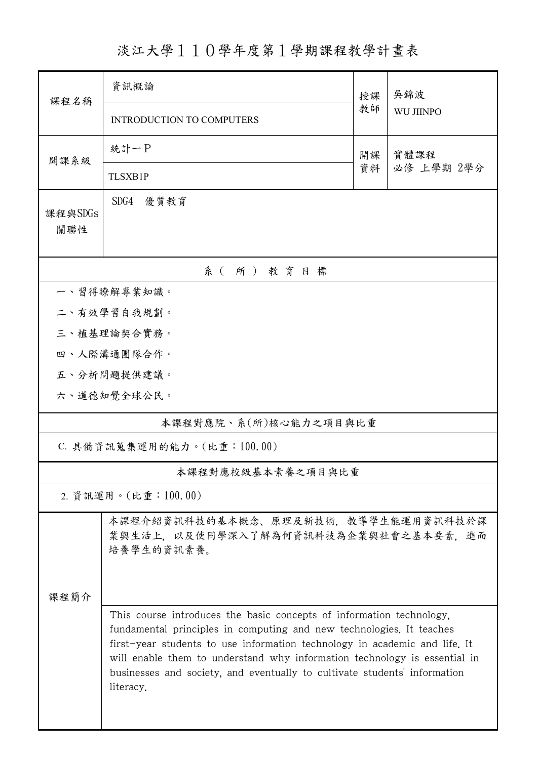淡江大學110學年度第1學期課程教學計畫表

| 課程名稱                       | 資訊概論<br>授課                                                                                                                                                                                                                                                                                                                                                                                        |    | 吳錦波              |  |  |  |  |  |  |
|----------------------------|---------------------------------------------------------------------------------------------------------------------------------------------------------------------------------------------------------------------------------------------------------------------------------------------------------------------------------------------------------------------------------------------------|----|------------------|--|--|--|--|--|--|
|                            | <b>INTRODUCTION TO COMPUTERS</b>                                                                                                                                                                                                                                                                                                                                                                  | 教師 | <b>WU JIINPO</b> |  |  |  |  |  |  |
| 開課系級                       | 統計一P<br>實體課程<br>開課                                                                                                                                                                                                                                                                                                                                                                                |    |                  |  |  |  |  |  |  |
|                            | <b>TLSXB1P</b>                                                                                                                                                                                                                                                                                                                                                                                    | 資料 | 必修 上學期 2學分       |  |  |  |  |  |  |
| 課程與SDGs<br>關聯性             | SDG4<br>優質教育                                                                                                                                                                                                                                                                                                                                                                                      |    |                  |  |  |  |  |  |  |
| 系(所)教育目標                   |                                                                                                                                                                                                                                                                                                                                                                                                   |    |                  |  |  |  |  |  |  |
| 一、習得瞭解專業知識。                |                                                                                                                                                                                                                                                                                                                                                                                                   |    |                  |  |  |  |  |  |  |
| 二、有效學習自我規劃。                |                                                                                                                                                                                                                                                                                                                                                                                                   |    |                  |  |  |  |  |  |  |
|                            | 三、植基理論契合實務。                                                                                                                                                                                                                                                                                                                                                                                       |    |                  |  |  |  |  |  |  |
|                            | 四、人際溝通團隊合作。                                                                                                                                                                                                                                                                                                                                                                                       |    |                  |  |  |  |  |  |  |
|                            | 五、分析問題提供建議。                                                                                                                                                                                                                                                                                                                                                                                       |    |                  |  |  |  |  |  |  |
|                            | 六、道德知覺全球公民。                                                                                                                                                                                                                                                                                                                                                                                       |    |                  |  |  |  |  |  |  |
| 本課程對應院、系(所)核心能力之項目與比重      |                                                                                                                                                                                                                                                                                                                                                                                                   |    |                  |  |  |  |  |  |  |
| C. 具備資訊蒐集運用的能力。(比重:100.00) |                                                                                                                                                                                                                                                                                                                                                                                                   |    |                  |  |  |  |  |  |  |
|                            | 本課程對應校級基本素養之項目與比重                                                                                                                                                                                                                                                                                                                                                                                 |    |                  |  |  |  |  |  |  |
| 2. 資訊運用。(比重:100.00)        |                                                                                                                                                                                                                                                                                                                                                                                                   |    |                  |  |  |  |  |  |  |
|                            | 本課程介紹資訊科技的基本概念、原理及新技術,教導學生能運用資訊科技於課<br>業與生活上,以及使同學深入了解為何資訊科技為企業與社會之基本要素,進而<br>培養學生的資訊素養。                                                                                                                                                                                                                                                                                                          |    |                  |  |  |  |  |  |  |
| 课程简介                       |                                                                                                                                                                                                                                                                                                                                                                                                   |    |                  |  |  |  |  |  |  |
|                            | This course introduces the basic concepts of information technology,<br>fundamental principles in computing and new technologies. It teaches<br>first-year students to use information technology in academic and life. It<br>will enable them to understand why information technology is essential in<br>businesses and society, and eventually to cultivate students' information<br>literacy. |    |                  |  |  |  |  |  |  |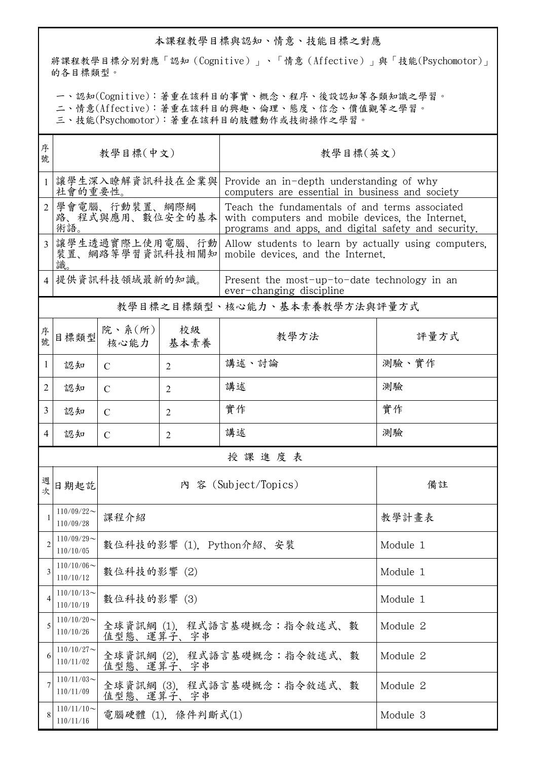## 本課程教學目標與認知、情意、技能目標之對應

將課程教學目標分別對應「認知(Cognitive)」、「情意(Affective)」與「技能(Psychomotor)」 的各目標類型。

一、認知(Cognitive):著重在該科目的事實、概念、程序、後設認知等各類知識之學習。

二、情意(Affective):著重在該科目的興趣、倫理、態度、信念、價值觀等之學習。

三、技能(Psychomotor):著重在該科目的肢體動作或技術操作之學習。

| 序<br>號         | 教學目標(中文)                                 |                                                      |                   | 教學目標(英文)                                                                                                                                                  |          |  |  |
|----------------|------------------------------------------|------------------------------------------------------|-------------------|-----------------------------------------------------------------------------------------------------------------------------------------------------------|----------|--|--|
| $\mathbf{1}$   | 讓學生深入瞭解資訊科技在企業與<br>社會的重要性。               |                                                      |                   | Provide an in-depth understanding of why<br>computers are essential in business and society                                                               |          |  |  |
| $\overline{2}$ | 學會電腦、行動裝置、網際網<br>路、程式與應用、數位安全的基本<br>術語。  |                                                      |                   | Teach the fundamentals of and terms associated<br>with computers and mobile devices, the Internet,<br>programs and apps, and digital safety and security. |          |  |  |
| $\overline{3}$ | 讓學生透過實際上使用電腦、行動<br>裝置、網路等學習資訊科技相關知<br>識。 |                                                      |                   | Allow students to learn by actually using computers.<br>mobile devices, and the Internet.                                                                 |          |  |  |
|                | 提供資訊科技領域最新的知識。                           |                                                      |                   | Present the most-up-to-date technology in an<br>ever-changing discipline                                                                                  |          |  |  |
|                |                                          |                                                      |                   | 教學目標之目標類型、核心能力、基本素養教學方法與評量方式                                                                                                                              |          |  |  |
| 序<br>號         | 目標類型                                     | 院、系 $(\kappa)$  <br>核心能力                             | 校級<br>基本素養        | 教學方法                                                                                                                                                      | 評量方式     |  |  |
| 1              | 認知                                       | $\mathcal{C}$                                        | $\overline{2}$    | 講述、討論                                                                                                                                                     | 測驗、實作    |  |  |
| 2              | 認知                                       | C                                                    | $\overline{2}$    | 講述                                                                                                                                                        | 測驗       |  |  |
| 3              | 認知                                       | $\mathcal{C}$                                        | $\overline{2}$    | 實作                                                                                                                                                        | 實作       |  |  |
| 4              | 認知                                       | C                                                    | $\overline{2}$    | 講述                                                                                                                                                        | 測驗       |  |  |
| 授課進度表          |                                          |                                                      |                   |                                                                                                                                                           |          |  |  |
| 週次             | 日期起訖                                     |                                                      |                   | 內 容 (Subject/Topics)                                                                                                                                      | 備註       |  |  |
| 1              | $110/09/22$ ~<br>110/09/28               | 課程介紹                                                 |                   |                                                                                                                                                           | 教學計畫表    |  |  |
| 2              | $110/09/29$ ~<br>110/10/05               |                                                      |                   | 數位科技的影響 (1), Python介紹、安裝                                                                                                                                  | Module 1 |  |  |
| 3              | $110/10/06$ ~<br>110/10/12               | 數位科技的影響(2)                                           |                   |                                                                                                                                                           | Module 1 |  |  |
| 4              | $110/10/13$ ~<br>110/10/19               | 數位科技的影響(3)                                           |                   |                                                                                                                                                           | Module 1 |  |  |
| 5              | $110/10/20$ ~<br>110/10/26               | 值型態、運算子、字串                                           |                   | 全球資訊網 (1),程式語言基礎概念:指令敘述式、數                                                                                                                                | Module 2 |  |  |
| 6              | $110/10/27$ ~<br>110/11/02               | 值型態、運算子、字串                                           |                   | 全球資訊網 (2),程式語言基礎概念:指令敘述式、數                                                                                                                                | Module 2 |  |  |
| 7              | $110/11/03$ ~<br>110/11/09               | 全球資訊網 (3),程式語言基礎概念:指令敘述式、數<br>Module 2<br>值型態、運算子、字串 |                   |                                                                                                                                                           |          |  |  |
| 8              | $110/11/10$ ~<br>110/11/16               |                                                      | 電腦硬體 (1),條件判斷式(1) |                                                                                                                                                           | Module 3 |  |  |